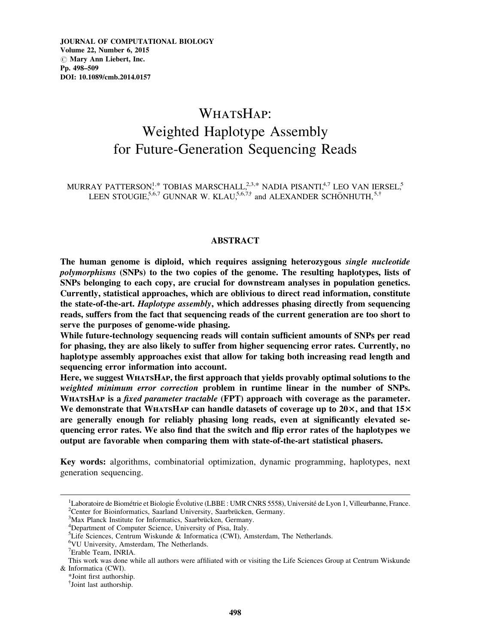# WHATSHAP: Weighted Haplotype Assembly for Future-Generation Sequencing Reads

MURRAY PATTERSON,<sup>1,\*</sup> TOBIAS MARSCHALL,<sup>2,3,\*</sup> NADIA PISANTI,<sup>4,7</sup> LEO VAN IERSEL,<sup>5</sup> LEEN STOUGIE,<sup>5,6,7</sup> GUNNAR W. KLAU,<sup>5,6,7,†</sup> and ALEXANDER SCHÖNHUTH,<sup>5,†</sup>

# ABSTRACT

The human genome is diploid, which requires assigning heterozygous *single nucleotide* polymorphisms (SNPs) to the two copies of the genome. The resulting haplotypes, lists of SNPs belonging to each copy, are crucial for downstream analyses in population genetics. Currently, statistical approaches, which are oblivious to direct read information, constitute the state-of-the-art. Haplotype assembly, which addresses phasing directly from sequencing reads, suffers from the fact that sequencing reads of the current generation are too short to serve the purposes of genome-wide phasing.

While future-technology sequencing reads will contain sufficient amounts of SNPs per read for phasing, they are also likely to suffer from higher sequencing error rates. Currently, no haplotype assembly approaches exist that allow for taking both increasing read length and sequencing error information into account.

Here, we suggest WhatsHap, the first approach that yields provably optimal solutions to the weighted minimum error correction problem in runtime linear in the number of SNPs. WHATSHAP is a fixed parameter tractable (FPT) approach with coverage as the parameter. We demonstrate that WHATSHAP can handle datasets of coverage up to  $20\times$ , and that  $15\times$ are generally enough for reliably phasing long reads, even at significantly elevated sequencing error rates. We also find that the switch and flip error rates of the haplotypes we output are favorable when comparing them with state-of-the-art statistical phasers.

Key words: algorithms, combinatorial optimization, dynamic programming, haplotypes, next generation sequencing.

<sup>&</sup>lt;sup>1</sup>Laboratoire de Biométrie et Biologie Évolutive (LBBE : UMR CNRS 5558), Université de Lyon 1, Villeurbanne, France.<br><sup>2</sup>Center for Bioinformatics, Saarland University, Saarbrücken, Germany. <sup>2</sup> Center for Bioinformatics, Saarland University, Saarbrücken, Germany.

 $3$ Max Planck Institute for Informatics, Saarbrücken, Germany.

Department of Computer Science, University of Pisa, Italy.

<sup>&</sup>lt;sup>5</sup>Life Sciences, Centrum Wiskunde & Informatica (CWI), Amsterdam, The Netherlands.

<sup>6</sup> VU University, Amsterdam, The Netherlands.

<sup>7</sup> Erable Team, INRIA.

This work was done while all authors were affiliated with or visiting the Life Sciences Group at Centrum Wiskunde & Informatica (CWI).

<sup>\*</sup>Joint first authorship.

<sup>{</sup> Joint last authorship.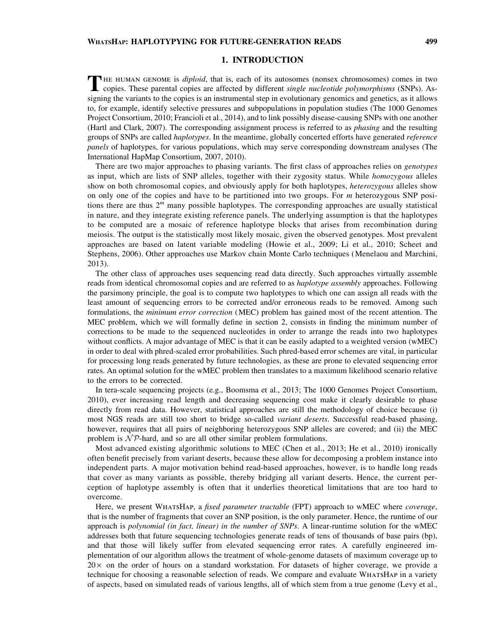# 1. INTRODUCTION

THE HUMAN GENOME is *diploid*, that is, each of its autosomes (nonsex chromosomes) comes in two copies. These parental copies are affected by different *single nucleotide polymorphisms* (SNPs). Assigning the variants to the copies is an instrumental step in evolutionary genomics and genetics, as it allows to, for example, identify selective pressures and subpopulations in population studies (The 1000 Genomes Project Consortium, 2010; Francioli et al., 2014), and to link possibly disease-causing SNPs with one another (Hartl and Clark, 2007). The corresponding assignment process is referred to as phasing and the resulting groups of SNPs are called *haplotypes*. In the meantime, globally concerted efforts have generated *reference* panels of haplotypes, for various populations, which may serve corresponding downstream analyses (The International HapMap Consortium, 2007, 2010).

There are two major approaches to phasing variants. The first class of approaches relies on *genotypes* as input, which are lists of SNP alleles, together with their zygosity status. While *homozygous* alleles show on both chromosomal copies, and obviously apply for both haplotypes, heterozygous alleles show on only one of the copies and have to be partitioned into two groups. For  *heterozygous SNP posi*tions there are thus  $2<sup>m</sup>$  many possible haplotypes. The corresponding approaches are usually statistical in nature, and they integrate existing reference panels. The underlying assumption is that the haplotypes to be computed are a mosaic of reference haplotype blocks that arises from recombination during meiosis. The output is the statistically most likely mosaic, given the observed genotypes. Most prevalent approaches are based on latent variable modeling (Howie et al., 2009; Li et al., 2010; Scheet and Stephens, 2006). Other approaches use Markov chain Monte Carlo techniques (Menelaou and Marchini, 2013).

The other class of approaches uses sequencing read data directly. Such approaches virtually assemble reads from identical chromosomal copies and are referred to as *haplotype assembly* approaches. Following the parsimony principle, the goal is to compute two haplotypes to which one can assign all reads with the least amount of sequencing errors to be corrected and/or erroneous reads to be removed. Among such formulations, the minimum error correction (MEC) problem has gained most of the recent attention. The MEC problem, which we will formally define in section 2, consists in finding the minimum number of corrections to be made to the sequenced nucleotides in order to arrange the reads into two haplotypes without conflicts. A major advantage of MEC is that it can be easily adapted to a weighted version (wMEC) in order to deal with phred-scaled error probabilities. Such phred-based error schemes are vital, in particular for processing long reads generated by future technologies, as these are prone to elevated sequencing error rates. An optimal solution for the wMEC problem then translates to a maximum likelihood scenario relative to the errors to be corrected.

In tera-scale sequencing projects (e.g., Boomsma et al., 2013; The 1000 Genomes Project Consortium, 2010), ever increasing read length and decreasing sequencing cost make it clearly desirable to phase directly from read data. However, statistical approaches are still the methodology of choice because (i) most NGS reads are still too short to bridge so-called variant deserts. Successful read-based phasing, however, requires that all pairs of neighboring heterozygous SNP alleles are covered; and (ii) the MEC problem is  $N \mathcal{P}$ -hard, and so are all other similar problem formulations.

Most advanced existing algorithmic solutions to MEC (Chen et al., 2013; He et al., 2010) ironically often benefit precisely from variant deserts, because these allow for decomposing a problem instance into independent parts. A major motivation behind read-based approaches, however, is to handle long reads that cover as many variants as possible, thereby bridging all variant deserts. Hence, the current perception of haplotype assembly is often that it underlies theoretical limitations that are too hard to overcome.

Here, we present WHATSHAP, a fixed parameter tractable (FPT) approach to wMEC where *coverage*, that is the number of fragments that cover an SNP position, is the only parameter. Hence, the runtime of our approach is polynomial (in fact, linear) in the number of SNPs. A linear-runtime solution for the wMEC addresses both that future sequencing technologies generate reads of tens of thousands of base pairs (bp), and that those will likely suffer from elevated sequencing error rates. A carefully engineered implementation of our algorithm allows the treatment of whole-genome datasets of maximum coverage up to  $20 \times$  on the order of hours on a standard workstation. For datasets of higher coverage, we provide a technique for choosing a reasonable selection of reads. We compare and evaluate WhatsHap in a variety of aspects, based on simulated reads of various lengths, all of which stem from a true genome (Levy et al.,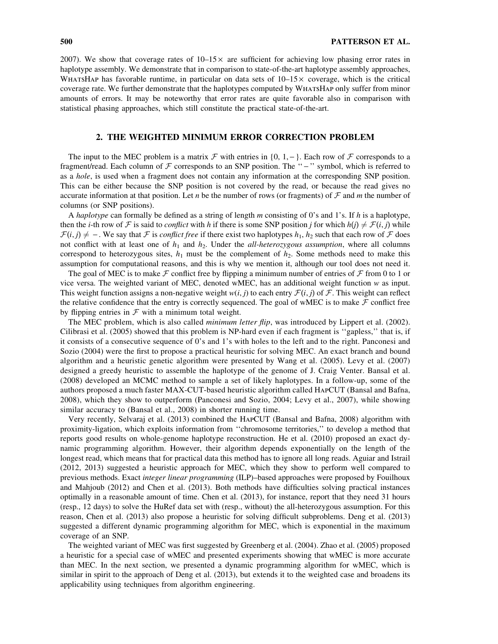2007). We show that coverage rates of  $10-15\times$  are sufficient for achieving low phasing error rates in haplotype assembly. We demonstrate that in comparison to state-of-the-art haplotype assembly approaches, WHATSHAP has favorable runtime, in particular on data sets of  $10-15\times$  coverage, which is the critical coverage rate. We further demonstrate that the haplotypes computed by WhatsHap only suffer from minor amounts of errors. It may be noteworthy that error rates are quite favorable also in comparison with statistical phasing approaches, which still constitute the practical state-of-the-art.

#### 2. THE WEIGHTED MINIMUM ERROR CORRECTION PROBLEM

The input to the MEC problem is a matrix  $\mathcal F$  with entries in {0, 1, - }. Each row of  $\mathcal F$  corresponds to a fragment/read. Each column of  $\mathcal F$  corresponds to an SNP position. The " $-$ " symbol, which is referred to as a hole, is used when a fragment does not contain any information at the corresponding SNP position. This can be either because the SNP position is not covered by the read, or because the read gives no accurate information at that position. Let *n* be the number of rows (or fragments) of  $\mathcal F$  and *m* the number of columns (or SNP positions).

A haplotype can formally be defined as a string of length m consisting of 0's and 1's. If h is a haplotype, then the *i*-th row of F is said to *conflict* with h if there is some SNP position j for which  $h(j) \neq \mathcal{F}(i, j)$  while  $\mathcal{F}(i, j) \neq -$ . We say that  $\mathcal F$  is *conflict free* if there exist two haplotypes  $h_1, h_2$  such that each row of  $\mathcal F$  does not conflict with at least one of  $h_1$  and  $h_2$ . Under the *all-heterozygous assumption*, where all columns correspond to heterozygous sites,  $h_1$  must be the complement of  $h_2$ . Some methods need to make this assumption for computational reasons, and this is why we mention it, although our tool does not need it.

The goal of MEC is to make  $\mathcal F$  conflict free by flipping a minimum number of entries of  $\mathcal F$  from 0 to 1 or vice versa. The weighted variant of MEC, denoted wMEC, has an additional weight function w as input. This weight function assigns a non-negative weight  $w(i, j)$  to each entry  $\mathcal{F}(i, j)$  of  $\mathcal{F}$ . This weight can reflect the relative confidence that the entry is correctly sequenced. The goal of wMEC is to make  $\mathcal F$  conflict free by flipping entries in  $\mathcal F$  with a minimum total weight.

The MEC problem, which is also called *minimum letter flip*, was introduced by Lippert et al. (2002). Cilibrasi et al. (2005) showed that this problem is NP-hard even if each fragment is ''gapless,'' that is, if it consists of a consecutive sequence of 0's and 1's with holes to the left and to the right. Panconesi and Sozio (2004) were the first to propose a practical heuristic for solving MEC. An exact branch and bound algorithm and a heuristic genetic algorithm were presented by Wang et al. (2005). Levy et al. (2007) designed a greedy heuristic to assemble the haplotype of the genome of J. Craig Venter. Bansal et al. (2008) developed an MCMC method to sample a set of likely haplotypes. In a follow-up, some of the authors proposed a much faster MAX-CUT-based heuristic algorithm called HapCUT (Bansal and Bafna, 2008), which they show to outperform (Panconesi and Sozio, 2004; Levy et al., 2007), while showing similar accuracy to (Bansal et al., 2008) in shorter running time.

Very recently, Selvaraj et al. (2013) combined the HapCUT (Bansal and Bafna, 2008) algorithm with proximity-ligation, which exploits information from ''chromosome territories,'' to develop a method that reports good results on whole-genome haplotype reconstruction. He et al. (2010) proposed an exact dynamic programming algorithm. However, their algorithm depends exponentially on the length of the longest read, which means that for practical data this method has to ignore all long reads. Aguiar and Istrail (2012, 2013) suggested a heuristic approach for MEC, which they show to perform well compared to previous methods. Exact integer linear programming (ILP)–based approaches were proposed by Fouilhoux and Mahjoub (2012) and Chen et al. (2013). Both methods have difficulties solving practical instances optimally in a reasonable amount of time. Chen et al. (2013), for instance, report that they need 31 hours (resp., 12 days) to solve the HuRef data set with (resp., without) the all-heterozygous assumption. For this reason, Chen et al. (2013) also propose a heuristic for solving difficult subproblems. Deng et al. (2013) suggested a different dynamic programming algorithm for MEC, which is exponential in the maximum coverage of an SNP.

The weighted variant of MEC was first suggested by Greenberg et al. (2004). Zhao et al. (2005) proposed a heuristic for a special case of wMEC and presented experiments showing that wMEC is more accurate than MEC. In the next section, we presented a dynamic programming algorithm for wMEC, which is similar in spirit to the approach of Deng et al. (2013), but extends it to the weighted case and broadens its applicability using techniques from algorithm engineering.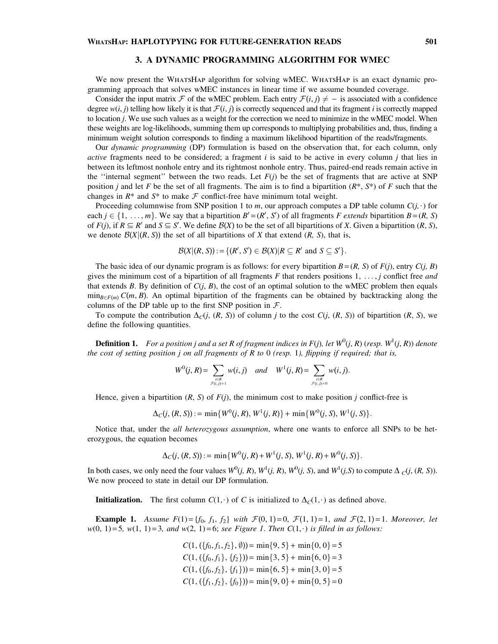## 3. A DYNAMIC PROGRAMMING ALGORITHM FOR WMEC

We now present the WHATSHAP algorithm for solving wMEC. WHATSHAP is an exact dynamic programming approach that solves wMEC instances in linear time if we assume bounded coverage.

Consider the input matrix F of the wMEC problem. Each entry  $\mathcal{F}(i, j) \neq -$  is associated with a confidence degree  $w(i, j)$  telling how likely it is that  $\mathcal{F}(i, j)$  is correctly sequenced and that its fragment i is correctly mapped to location j. We use such values as a weight for the correction we need to minimize in the wMEC model. When these weights are log-likelihoods, summing them up corresponds to multiplying probabilities and, thus, finding a minimum weight solution corresponds to finding a maximum likelihood bipartition of the reads/fragments.

Our dynamic programming (DP) formulation is based on the observation that, for each column, only active fragments need to be considered; a fragment  $i$  is said to be active in every column  $j$  that lies in between its leftmost nonhole entry and its rightmost nonhole entry. Thus, paired-end reads remain active in the "internal segment" between the two reads. Let  $F(j)$  be the set of fragments that are active at SNP position j and let F be the set of all fragments. The aim is to find a bipartition ( $R^*$ ,  $S^*$ ) of F such that the changes in  $R^*$  and  $S^*$  to make  $\mathcal F$  conflict-free have minimum total weight.

Proceeding columnwise from SNP position 1 to m, our approach computes a DP table column  $C(j, \cdot)$  for each  $j \in \{1, ..., m\}$ . We say that a bipartition  $B' = (R', S')$  of all fragments F extends bipartition  $B = (R, S)$ of  $F(j)$ , if  $R \subseteq R'$  and  $S \subseteq S'$ . We define  $B(X)$  to be the set of all bipartitions of X. Given a bipartition  $(R, S)$ , we denote  $\mathcal{B}(X|(R, S))$  the set of all bipartitions of X that extend  $(R, S)$ , that is,

$$
\mathcal{B}(X|(R, S)) := \{ (R', S') \in \mathcal{B}(X) | R \subseteq R' \text{ and } S \subseteq S' \}.
$$

The basic idea of our dynamic program is as follows: for every bipartition  $B = (R, S)$  of  $F(j)$ , entry  $C(j, B)$ gives the minimum cost of a bipartition of all fragments F that renders positions  $1, \ldots, j$  conflict free and that extends B. By definition of  $C(j, B)$ , the cost of an optimal solution to the wMEC problem then equals  $\min_{B \in F(m)} C(m, B)$ . An optimal bipartition of the fragments can be obtained by backtracking along the columns of the DP table up to the first SNP position in  $\mathcal{F}$ .

To compute the contribution  $\Delta_C(j, (R, S))$  of column j to the cost  $C(j, (R, S))$  of bipartition  $(R, S)$ , we define the following quantities.

**Definition 1.** For a position j and a set R of fragment indices in F(j), let  $W^0(j, R)$  (resp.  $W^1(j, R)$ ) denote the cost of setting position j on all fragments of  $R$  to 0 (resp. 1), flipping if required; that is,

$$
W^{0}(j, R) = \sum_{\substack{i \in R \\ f(i,j)=1}} w(i,j) \quad and \quad W^{1}(j, R) = \sum_{\substack{i \in R \\ f(i,j)=0}} w(i,j).
$$

Hence, given a bipartition  $(R, S)$  of  $F(j)$ , the minimum cost to make position j conflict-free is

$$
\Delta_C(j, (R, S)) := \min \{W^0(j, R), W^1(j, R)\} + \min \{W^0(j, S), W^1(j, S)\}.
$$

Notice that, under the all heterozygous assumption, where one wants to enforce all SNPs to be heterozygous, the equation becomes

$$
\Delta_C(j, (R, S)) := \min\{W^0(j, R) + W^1(j, S), W^1(j, R) + W^0(j, S)\}.
$$

In both cases, we only need the four values  $W^0(j, R)$ ,  $W^1(j, R)$ ,  $W^0(j, S)$ , and  $W^1(j, S)$  to compute  $\Delta_C(j, (R, S))$ . We now proceed to state in detail our DP formulation.

**Initialization.** The first column  $C(1, \cdot)$  of C is initialized to  $\Delta_C(1, \cdot)$  as defined above.

**Example 1.** Assume  $F(1) = \{f_0, f_1, f_2\}$  with  $F(0, 1) = 0$ ,  $F(1, 1) = 1$ , and  $F(2, 1) = 1$ . Moreover, let  $w(0, 1) = 5$ ,  $w(1, 1) = 3$ , and  $w(2, 1) = 6$ ; see Figure 1. Then  $C(1, \cdot)$  is filled in as follows:

> $C(1, (\{f_0, f_1, f_2\}, \emptyset)) = \min\{9, 5\} + \min\{0, 0\} = 5$  $C(1, (\{f_0, f_1\}, \{f_2\})) = \min\{3, 5\} + \min\{6, 0\} = 3$  $C(1, (\{f_0, f_2\}, \{f_1\})) = \min\{6, 5\} + \min\{3, 0\} = 5$  $C(1, (\{f_1, f_2\}, \{f_0\})) = \min\{9, 0\} + \min\{0, 5\} = 0$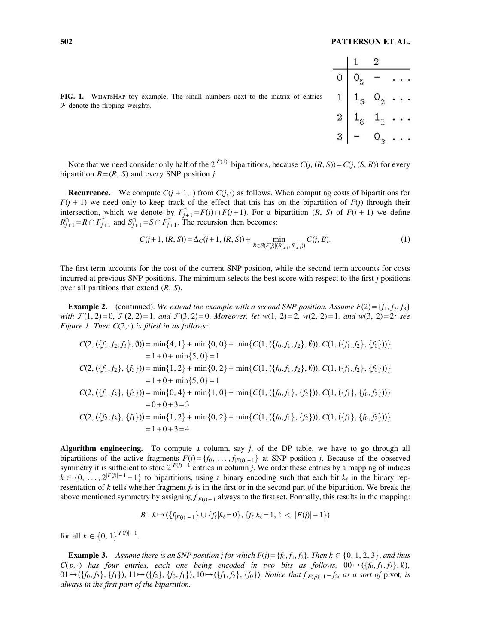|                | $\mathbf{I}$    | 2              |  |  |
|----------------|-----------------|----------------|--|--|
| $\overline{0}$ | $O_{\tilde{g}}$ |                |  |  |
| $\mathbf{1}$   | L,              | ${\rm O}_2$    |  |  |
| $\overline{c}$ |                 | $1\frac{1}{3}$ |  |  |
| 3              |                 | 0<br>X.        |  |  |

FIG. 1. WHATSHAP toy example. The small numbers next to the matrix of entries  $F$  denote the flipping weights.

Note that we need consider only half of the  $2^{|F(1)|}$  bipartitions, because  $C(j, (R, S)) = C(j, (S, R))$  for every bipartition  $B = (R, S)$  and every SNP position *j*.

**Recurrence.** We compute  $C(j + 1, \cdot)$  from  $C(j, \cdot)$  as follows. When computing costs of bipartitions for  $F(j + 1)$  we need only to keep track of the effect that this has on the bipartition of  $F(j)$  through their intersection, which we denote by  $F_{j+1}^{\cap} = F(j) \cap F(j+1)$ . For a bipartition  $(R, S)$  of  $F(j + 1)$  we define  $R_{j+1}^{\cap} = R \cap F_{j+1}^{\cap}$  and  $S_{j+1}^{\cap} = S \cap F_{j+1}^{\cap}$ . The recursion then becomes:

$$
C(j+1, (R, S)) = \Delta_C(j+1, (R, S)) + \min_{B \in \mathcal{B}(F(j)|(R_{j+1}^C, S_{j+1}^C))} C(j, B).
$$
 (1)

The first term accounts for the cost of the current SNP position, while the second term accounts for costs incurred at previous SNP positions. The minimum selects the best score with respect to the first j positions over all partitions that extend  $(R, S)$ .

**Example 2.** (continued). We extend the example with a second SNP position. Assume  $F(2) = \{f_1, f_2, f_3\}$ with  $\mathcal{F}(1, 2) = 0$ ,  $\mathcal{F}(2, 2) = 1$ , and  $\mathcal{F}(3, 2) = 0$ . Moreover, let  $w(1, 2) = 2$ ,  $w(2, 2) = 1$ , and  $w(3, 2) = 2$ ; see Figure 1. Then  $C(2, \cdot)$  is filled in as follows:

$$
C(2, (\{f_1, f_2, f_3\}, \emptyset)) = \min\{4, 1\} + \min\{0, 0\} + \min\{C(1, (\{f_0, f_1, f_2\}, \emptyset)), C(1, (\{f_1, f_2\}, \{f_0\}))\}
$$
  
\n
$$
= 1 + 0 + \min\{5, 0\} = 1
$$
  
\n
$$
C(2, (\{f_1, f_2\}, \{f_3\})) = \min\{1, 2\} + \min\{0, 2\} + \min\{C(1, (\{f_0, f_1, f_2\}, \emptyset)), C(1, (\{f_1, f_2\}, \{f_0\}))\}
$$
  
\n
$$
= 1 + 0 + \min\{5, 0\} = 1
$$
  
\n
$$
C(2, (\{f_1, f_3\}, \{f_2\})) = \min\{0, 4\} + \min\{1, 0\} + \min\{C(1, (\{f_0, f_1\}, \{f_2\})), C(1, (\{f_1\}, \{f_0, f_2\}))\}
$$
  
\n
$$
= 0 + 0 + 3 = 3
$$
  
\n
$$
C(2, (\{f_2, f_3\}, \{f_1\})) = \min\{1, 2\} + \min\{0, 2\} + \min\{C(1, (\{f_0, f_1\}, \{f_2\})), C(1, (\{f_1\}, \{f_0, f_2\}))\}
$$
  
\n
$$
= 1 + 0 + 3 = 4
$$

Algorithm engineering. To compute a column, say  $j$ , of the DP table, we have to go through all bipartitions of the active fragments  $F(j) = \{f_0, \ldots, f_{|F(j)|-1}\}\)$  at SNP position j. Because of the observed symmetry it is sufficient to store  $2^{|F(j)-1|}$  entries in column j. We order these entries by a mapping of indices  $k \in \{0, \ldots, 2^{|F(j)|-1}-1\}$  to bipartitions, using a binary encoding such that each bit  $k_{\ell}$  in the binary representation of k tells whether fragment  $f_{\ell}$  is in the first or in the second part of the bipartition. We break the above mentioned symmetry by assigning  $f_{[F(i)-1]}$  always to the first set. Formally, this results in the mapping:

$$
B: k \mapsto (\{f_{|F(j)|-1}\} \cup \{f_{\ell}|k_{\ell}=0\}, \{f_{\ell}|k_{\ell}=1, \ell < |F(j)|-1\})
$$

for all  $k \in \{0, 1\}^{|F(j)| - 1}$ .

**Example 3.** Assume there is an SNP position j for which  $F(j) = \{f_0, f_1, f_2\}$ . Then  $k \in \{0, 1, 2, 3\}$ , and thus  $C(p, \cdot)$  has four entries, each one being encoded in two bits as follows.  $00 \mapsto (\{f_0, f_1, f_2\}, \emptyset)$ ,  $01\mapsto (\{f_0,f_2\},\{f_1\}), 11\mapsto (\{f_2\},\{f_0,f_1\}), 10\mapsto (\{f_1,f_2\},\{f_0\}).$  Notice that  $f_{[F(p)|-1}=f_2$ , as a sort of pivot, is always in the first part of the bipartition.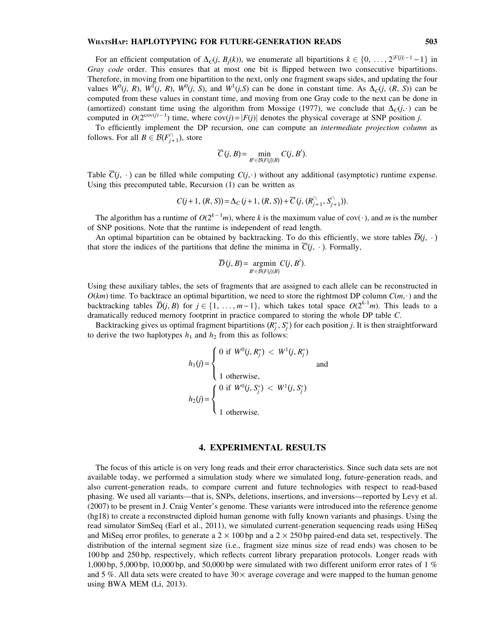#### WHATSHAP: HAPLOTYPYING FOR FUTURE-GENERATION READS 503

For an efficient computation of  $\Delta_C(j, B_i(k))$ , we enumerate all bipartitions  $k \in \{0, \ldots, 2^{|F(j)|-1}-1\}$  in Gray code order. This ensures that at most one bit is flipped between two consecutive bipartitions. Therefore, in moving from one bipartition to the next, only one fragment swaps sides, and updating the four values  $W^0(j, R)$ ,  $W^1(j, R)$ ,  $W^0(j, S)$ , and  $W^1(j, S)$  can be done in constant time. As  $\Delta_C(j, (R, S))$  can be computed from these values in constant time, and moving from one Gray code to the next can be done in (amortized) constant time using the algorithm from Mossige (1977), we conclude that  $\Delta_{\mathcal{C}}(i, \cdot)$  can be computed in  $O(2^{\text{cov}(j)-1})$  time, where  $\text{cov}(j) = |F(j)|$  denotes the physical coverage at SNP position j.

To efficiently implement the DP recursion, one can compute an *intermediate projection column* as follows. For all  $B \in \mathcal{B}(F_{j+1}^{\cap})$ , store

$$
\overline{C}(j, B) = \min_{B' \in \mathcal{B}(F(j)|B)} C(j, B').
$$

Table  $\overline{C}(i, \cdot)$  can be filled while computing  $C(i, \cdot)$  without any additional (asymptotic) runtime expense. Using this precomputed table, Recursion (1) can be written as

$$
C(j+1, (R, S)) = \Delta_C (j+1, (R, S)) + \overline{C} (j, (R_{j+1}^{\cap}, S_{j+1}^{\cap})).
$$

The algorithm has a runtime of  $O(2^{k-1}m)$ , where k is the maximum value of cov( $\cdot$ ), and m is the number of SNP positions. Note that the runtime is independent of read length.

An optimal bipartition can be obtained by backtracking. To do this efficiently, we store tables  $\overline{D}(j, \cdot)$ that store the indices of the partitions that define the minima in  $\overline{C}(i, \cdot)$ . Formally,

$$
\overline{D}(j, B) = \operatorname*{argmin}_{B' \in \mathcal{B}(F(j)|B)} C(j, B').
$$

Using these auxiliary tables, the sets of fragments that are assigned to each allele can be reconstructed in  $O(km)$  time. To backtrace an optimal bipartition, we need to store the rightmost DP column  $C(m, \cdot)$  and the backtracking tables  $\overline{D}(j, B)$  for  $j \in \{1, \ldots, m-1\}$ , which takes total space  $O(2^{k-1}m)$ . This leads to a dramatically reduced memory footprint in practice compared to storing the whole DP table C.

Backtracking gives us optimal fragment bipartitions  $(R_j^*, S_j^*)$  for each position *j*. It is then straightforward to derive the two haplotypes  $h_1$  and  $h_2$  from this as follows:

$$
h_1(j) = \begin{cases} 0 \text{ if } W^0(j, R_j^*) < W^1(j, R_j^*) \\ 1 \text{ otherwise,} \\ h_2(j) = \begin{cases} 0 \text{ if } W^0(j, S_j^*) < W^1(j, S_j^*) \\ 1 \text{ otherwise.} \end{cases} \end{cases}
$$
 and

# 4. EXPERIMENTAL RESULTS

The focus of this article is on very long reads and their error characteristics. Since such data sets are not available today, we performed a simulation study where we simulated long, future-generation reads, and also current-generation reads, to compare current and future technologies with respect to read-based phasing. We used all variants—that is, SNPs, deletions, insertions, and inversions—reported by Levy et al. (2007) to be present in J. Craig Venter's genome. These variants were introduced into the reference genome (hg18) to create a reconstructed diploid human genome with fully known variants and phasings. Using the read simulator SimSeq (Earl et al., 2011), we simulated current-generation sequencing reads using HiSeq and MiSeq error profiles, to generate a  $2 \times 100$  bp and a  $2 \times 250$  bp paired-end data set, respectively. The distribution of the internal segment size (i.e., fragment size minus size of read ends) was chosen to be 100 bp and 250 bp, respectively, which reflects current library preparation protocols. Longer reads with 1,000 bp, 5,000 bp, 10,000 bp, and 50,000 bp were simulated with two different uniform error rates of 1 % and 5 %. All data sets were created to have  $30 \times$  average coverage and were mapped to the human genome using BWA MEM (Li, 2013).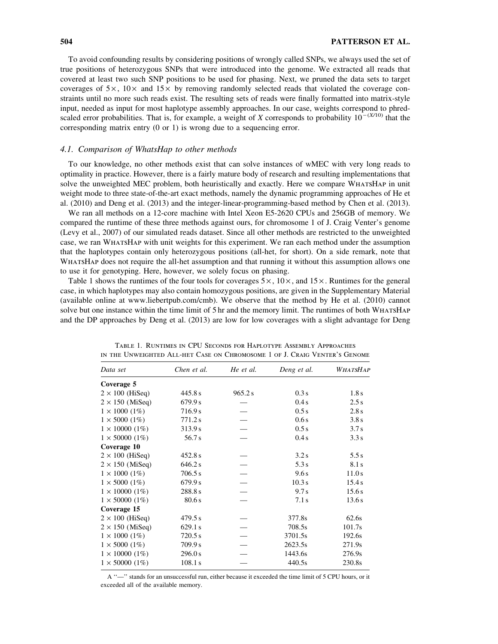To avoid confounding results by considering positions of wrongly called SNPs, we always used the set of true positions of heterozygous SNPs that were introduced into the genome. We extracted all reads that covered at least two such SNP positions to be used for phasing. Next, we pruned the data sets to target coverages of  $5 \times$ ,  $10 \times$  and  $15 \times$  by removing randomly selected reads that violated the coverage constraints until no more such reads exist. The resulting sets of reads were finally formatted into matrix-style input, needed as input for most haplotype assembly approaches. In our case, weights correspond to phredscaled error probabilities. That is, for example, a weight of X corresponds to probability  $10^{-(X/10)}$  that the corresponding matrix entry (0 or 1) is wrong due to a sequencing error.

# 4.1. Comparison of WhatsHap to other methods

To our knowledge, no other methods exist that can solve instances of wMEC with very long reads to optimality in practice. However, there is a fairly mature body of research and resulting implementations that solve the unweighted MEC problem, both heuristically and exactly. Here we compare WhatsHap in unit weight mode to three state-of-the-art exact methods, namely the dynamic programming approaches of He et al. (2010) and Deng et al. (2013) and the integer-linear-programming-based method by Chen et al. (2013).

We ran all methods on a 12-core machine with Intel Xeon E5-2620 CPUs and 256GB of memory. We compared the runtime of these three methods against ours, for chromosome 1 of J. Craig Venter's genome (Levy et al., 2007) of our simulated reads dataset. Since all other methods are restricted to the unweighted case, we ran WhatsHap with unit weights for this experiment. We ran each method under the assumption that the haplotypes contain only heterozygous positions (all-het, for short). On a side remark, note that WHATSHAP does not require the all-het assumption and that running it without this assumption allows one to use it for genotyping. Here, however, we solely focus on phasing.

Table 1 shows the runtimes of the four tools for coverages  $5 \times$ ,  $10 \times$ , and  $15 \times$ . Runtimes for the general case, in which haplotypes may also contain homozygous positions, are given in the Supplementary Material (available online at www.liebertpub.com/cmb). We observe that the method by He et al. (2010) cannot solve but one instance within the time limit of 5 hr and the memory limit. The runtimes of both WHATSHAP and the DP approaches by Deng et al. (2013) are low for low coverages with a slight advantage for Deng

| Data set               | Chen et al. | He et al. | Deng et al. | WHATSHAP |  |  |
|------------------------|-------------|-----------|-------------|----------|--|--|
| Coverage 5             |             |           |             |          |  |  |
| $2 \times 100$ (HiSeq) | 445.8 s     | 965.2 s   | 0.3 s       | 1.8 s    |  |  |
| $2 \times 150$ (MiSeq) | 679.9 s     |           | 0.4 s       | 2.5s     |  |  |
| $1 \times 1000$ (1%)   | 716.9 s     |           | 0.5 s       | 2.8 s    |  |  |
| $1 \times 5000$ (1%)   | 771.2 s     |           | 0.6s        | 3.8s     |  |  |
| $1 \times 10000$ (1%)  | 313.9 s     |           | 0.5 s       | 3.7s     |  |  |
| $1 \times 50000$ (1%)  | 56.7 s      |           | 0.4 s       | 3.3 s    |  |  |
| Coverage 10            |             |           |             |          |  |  |
| $2 \times 100$ (HiSeq) | 452.8 s     |           | 3.2 s       | 5.5 s    |  |  |
| $2 \times 150$ (MiSeq) | 646.2 s     |           | 5.3 s       | 8.1 s    |  |  |
| $1 \times 1000$ (1%)   | 706.5 s     |           | 9.6s        | 11.0s    |  |  |
| $1 \times 5000$ (1%)   | 679.9 s     |           | 10.3 s      | 15.4 s   |  |  |
| $1 \times 10000$ (1%)  | 288.8 s     |           | 9.7 s       | 15.6s    |  |  |
| $1 \times 50000 (1\%)$ | 80.6s       |           | 7.1 s       | 13.6s    |  |  |
| Coverage 15            |             |           |             |          |  |  |
| $2 \times 100$ (HiSeq) | 479.5 s     |           | 377.8s      | 62.6s    |  |  |
| $2 \times 150$ (MiSeq) | 629.1 s     |           | 708.5s      | 101.7s   |  |  |
| $1 \times 1000$ (1%)   | 720.5 s     |           | 3701.5s     | 192.6s   |  |  |
| $1 \times 5000$ (1%)   | 709.9 s     |           | 2623.5s     | 271.9s   |  |  |
| $1 \times 10000$ (1%)  | 296.0 s     |           | 1443.6s     | 276.9s   |  |  |
| $1 \times 50000 (1\%)$ | 108.1 s     |           | 440.5s      | 230.8s   |  |  |
|                        |             |           |             |          |  |  |

Table 1. Runtimes in CPU Seconds for Haplotype Assembly Approaches in the Unweighted All-het Case on Chromosome 1 of J. Craig Venter's Genome

A ''—'' stands for an unsuccessful run, either because it exceeded the time limit of 5 CPU hours, or it exceeded all of the available memory.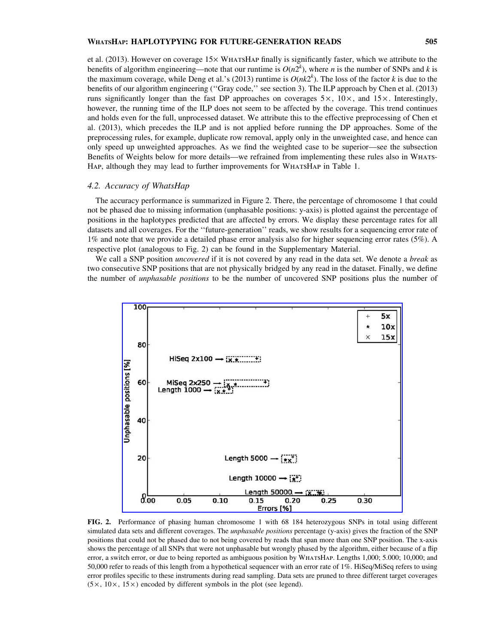et al. (2013). However on coverage  $15\times$  WHATSHAP finally is significantly faster, which we attribute to the benefits of algorithm engineering—note that our runtime is  $O(n2^k)$ , where *n* is the number of SNPs and *k* is the maximum coverage, while Deng et al.'s (2013) runtime is  $O(nk2<sup>k</sup>)$ . The loss of the factor k is due to the benefits of our algorithm engineering (''Gray code,'' see section 3). The ILP approach by Chen et al. (2013) runs significantly longer than the fast DP approaches on coverages  $5 \times$ ,  $10 \times$ , and  $15 \times$ . Interestingly, however, the running time of the ILP does not seem to be affected by the coverage. This trend continues and holds even for the full, unprocessed dataset. We attribute this to the effective preprocessing of Chen et al. (2013), which precedes the ILP and is not applied before running the DP approaches. Some of the preprocessing rules, for example, duplicate row removal, apply only in the unweighted case, and hence can only speed up unweighted approaches. As we find the weighted case to be superior—see the subsection Benefits of Weights below for more details—we refrained from implementing these rules also in Whats-HAP, although they may lead to further improvements for WHATSHAP in Table 1.

#### 4.2. Accuracy of WhatsHap

The accuracy performance is summarized in Figure 2. There, the percentage of chromosome 1 that could not be phased due to missing information (unphasable positions: y-axis) is plotted against the percentage of positions in the haplotypes predicted that are affected by errors. We display these percentage rates for all datasets and all coverages. For the ''future-generation'' reads, we show results for a sequencing error rate of 1% and note that we provide a detailed phase error analysis also for higher sequencing error rates (5%). A respective plot (analogous to Fig. 2) can be found in the Supplementary Material.

We call a SNP position *uncovered* if it is not covered by any read in the data set. We denote a *break* as two consecutive SNP positions that are not physically bridged by any read in the dataset. Finally, we define the number of unphasable positions to be the number of uncovered SNP positions plus the number of



FIG. 2. Performance of phasing human chromosome 1 with 68 184 heterozygous SNPs in total using different simulated data sets and different coverages. The *unphasable positions* percentage (y-axis) gives the fraction of the SNP positions that could not be phased due to not being covered by reads that span more than one SNP position. The x-axis shows the percentage of all SNPs that were not unphasable but wrongly phased by the algorithm, either because of a flip error, a switch error, or due to being reported as ambiguous position by WhatsHap. Lengths 1,000; 5.000; 10,000; and 50,000 refer to reads of this length from a hypothetical sequencer with an error rate of 1%. HiSeq/MiSeq refers to using error profiles specific to these instruments during read sampling. Data sets are pruned to three different target coverages  $(5 \times, 10 \times, 15 \times)$  encoded by different symbols in the plot (see legend).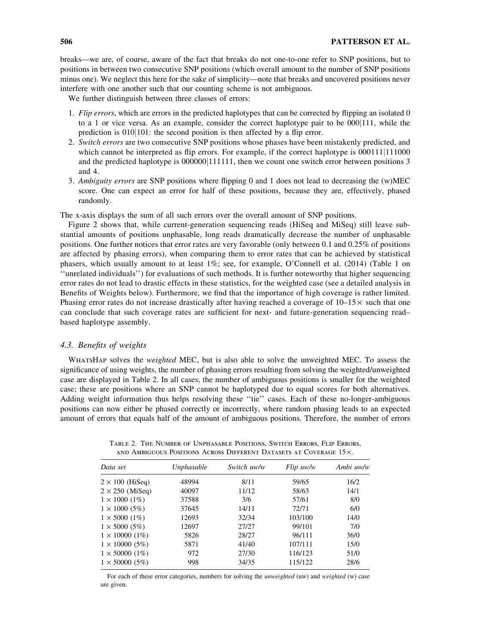breaks—we are, of course, aware of the fact that breaks do not one-to-one refer to SNP positions, but to positions in between two consecutive SNP positions (which overall amount to the number of SNP positions minus one). We neglect this here for the sake of simplicity—note that breaks and uncovered positions never interfere with one another such that our counting scheme is not ambiguous.

We further distinguish between three classes of errors:

- 1. Flip errors, which are errors in the predicted haplotypes that can be corrected by flipping an isolated 0 to a 1 or vice versa. As an example, consider the correct haplotype pair to be  $000|111$ , while the prediction is  $010|101$ : the second position is then affected by a flip error.
- 2. Switch errors are two consecutive SNP positions whose phases have been mistakenly predicted, and which cannot be interpreted as flip errors. For example, if the correct haplotype is  $000111|111000$ and the predicted haplotype is 000000|111111, then we count one switch error between positions 3 and 4.
- 3. Ambiguity errors are SNP positions where flipping 0 and 1 does not lead to decreasing the (w)MEC score. One can expect an error for half of these positions, because they are, effectively, phased randomly.

The x-axis displays the sum of all such errors over the overall amount of SNP positions.

Figure 2 shows that, while current-generation sequencing reads (HiSeq and MiSeq) still leave substantial amounts of positions unphasable, long reads dramatically decrease the number of unphasable positions. One further notices that error rates are very favorable (only between 0.1 and 0.25% of positions are affected by phasing errors), when comparing them to error rates that can be achieved by statistical phasers, which usually amount to at least 1%; see, for example, O'Connell et al. (2014) (Table 1 on ''unrelated individuals'') for evaluations of such methods. It is further noteworthy that higher sequencing error rates do not lead to drastic effects in these statistics, for the weighted case (see a detailed analysis in Benefits of Weights below). Furthermore, we find that the importance of high coverage is rather limited. Phasing error rates do not increase drastically after having reached a coverage of  $10-15 \times$  such that one can conclude that such coverage rates are sufficient for next- and future-generation sequencing read– based haplotype assembly.

#### 4.3. Benefits of weights

WhatsHap solves the weighted MEC, but is also able to solve the unweighted MEC. To assess the significance of using weights, the number of phasing errors resulting from solving the weighted/unweighted case are displayed in Table 2. In all cases, the number of ambiguous positions is smaller for the weighted case; these are positions where an SNP cannot be haplotyped due to equal scores for both alternatives. Adding weight information thus helps resolving these ''tie'' cases. Each of these no-longer-ambiguous positions can now either be phased correctly or incorrectly, where random phasing leads to an expected amount of errors that equals half of the amount of ambiguous positions. Therefore, the number of errors

| Data set               | Unphasable | Switch uw/w | Flip uw/w | Ambi uw/w |
|------------------------|------------|-------------|-----------|-----------|
| $2 \times 100$ (HiSeq) | 48994      | 8/11        | 59/65     | 16/2      |
| $2 \times 250$ (MiSeq) | 40097      | 11/12       | 58/63     | 14/1      |
| $1 \times 1000$ (1%)   | 37588      | 3/6         | 57/61     | 8/0       |
| $1 \times 1000$ (5%)   | 37645      | 14/11       | 72/71     | 6/0       |
| $1 \times 5000$ (1%)   | 12693      | 32/34       | 103/100   | 14/0      |
| $1 \times 5000 (5\%)$  | 12697      | 27/27       | 99/101    | 7/0       |
| $1 \times 10000$ (1%)  | 5826       | 28/27       | 96/111    | 36/0      |
| $1 \times 10000$ (5%)  | 5871       | 41/40       | 107/111   | 15/0      |
| $1 \times 50000$ (1%)  | 972        | 27/30       | 116/123   | 51/0      |
| $1 \times 50000 (5\%)$ | 998        | 34/35       | 115/122   | 28/6      |

Table 2. The Number of Unphasable Positions, Switch Errors, Flip Errors, and Ambiguous Positions Across Different Datasets at Coverage 15 $\times$ .

For each of these error categories, numbers for solving the *unweighted* (uw) and *weighted* (w) case are given.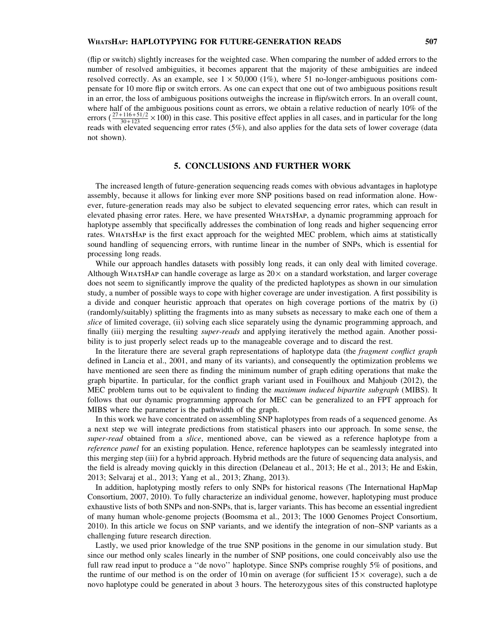(flip or switch) slightly increases for the weighted case. When comparing the number of added errors to the number of resolved ambiguities, it becomes apparent that the majority of these ambiguities are indeed resolved correctly. As an example, see  $1 \times 50,000$  (1%), where 51 no-longer-ambiguous positions compensate for 10 more flip or switch errors. As one can expect that one out of two ambiguous positions result in an error, the loss of ambiguous positions outweighs the increase in flip/switch errors. In an overall count, where half of the ambiguous positions count as errors, we obtain a relative reduction of nearly 10% of the

errors  $(\frac{27+116+51/2}{30+123} \times 100)$  in this case. This positive effect applies in all cases, and in particular for the long reads with elevated sequencing error rates (5%), and also applies for the data sets of lower coverage (data not shown).

# 5. CONCLUSIONS AND FURTHER WORK

The increased length of future-generation sequencing reads comes with obvious advantages in haplotype assembly, because it allows for linking ever more SNP positions based on read information alone. However, future-generation reads may also be subject to elevated sequencing error rates, which can result in elevated phasing error rates. Here, we have presented WhatsHap, a dynamic programming approach for haplotype assembly that specifically addresses the combination of long reads and higher sequencing error rates. WhatsHap is the first exact approach for the weighted MEC problem, which aims at statistically sound handling of sequencing errors, with runtime linear in the number of SNPs, which is essential for processing long reads.

While our approach handles datasets with possibly long reads, it can only deal with limited coverage. Although WHATSHAP can handle coverage as large as  $20 \times$  on a standard workstation, and larger coverage does not seem to significantly improve the quality of the predicted haplotypes as shown in our simulation study, a number of possible ways to cope with higher coverage are under investigation. A first possibility is a divide and conquer heuristic approach that operates on high coverage portions of the matrix by (i) (randomly/suitably) splitting the fragments into as many subsets as necessary to make each one of them a slice of limited coverage, (ii) solving each slice separately using the dynamic programming approach, and finally (iii) merging the resulting *super-reads* and applying iteratively the method again. Another possibility is to just properly select reads up to the manageable coverage and to discard the rest.

In the literature there are several graph representations of haplotype data (the *fragment conflict graph* defined in Lancia et al., 2001, and many of its variants), and consequently the optimization problems we have mentioned are seen there as finding the minimum number of graph editing operations that make the graph bipartite. In particular, for the conflict graph variant used in Fouilhoux and Mahjoub (2012), the MEC problem turns out to be equivalent to finding the maximum induced bipartite subgraph (MIBS). It follows that our dynamic programming approach for MEC can be generalized to an FPT approach for MIBS where the parameter is the pathwidth of the graph.

In this work we have concentrated on assembling SNP haplotypes from reads of a sequenced genome. As a next step we will integrate predictions from statistical phasers into our approach. In some sense, the super-read obtained from a slice, mentioned above, can be viewed as a reference haplotype from a reference panel for an existing population. Hence, reference haplotypes can be seamlessly integrated into this merging step (iii) for a hybrid approach. Hybrid methods are the future of sequencing data analysis, and the field is already moving quickly in this direction (Delaneau et al., 2013; He et al., 2013; He and Eskin, 2013; Selvaraj et al., 2013; Yang et al., 2013; Zhang, 2013).

In addition, haplotyping mostly refers to only SNPs for historical reasons (The International HapMap Consortium, 2007, 2010). To fully characterize an individual genome, however, haplotyping must produce exhaustive lists of both SNPs and non-SNPs, that is, larger variants. This has become an essential ingredient of many human whole-genome projects (Boomsma et al., 2013; The 1000 Genomes Project Consortium, 2010). In this article we focus on SNP variants, and we identify the integration of non–SNP variants as a challenging future research direction.

Lastly, we used prior knowledge of the true SNP positions in the genome in our simulation study. But since our method only scales linearly in the number of SNP positions, one could conceivably also use the full raw read input to produce a "de novo" haplotype. Since SNPs comprise roughly 5% of positions, and the runtime of our method is on the order of 10 min on average (for sufficient  $15 \times$  coverage), such a de novo haplotype could be generated in about 3 hours. The heterozygous sites of this constructed haplotype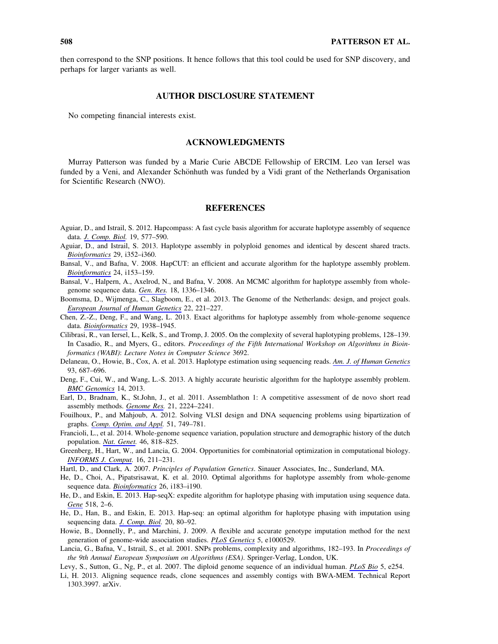then correspond to the SNP positions. It hence follows that this tool could be used for SNP discovery, and perhaps for larger variants as well.

### AUTHOR DISCLOSURE STATEMENT

No competing financial interests exist.

# ACKNOWLEDGMENTS

Murray Patterson was funded by a Marie Curie ABCDE Fellowship of ERCIM. Leo van Iersel was funded by a Veni, and Alexander Schönhuth was funded by a Vidi grant of the Netherlands Organisation for Scientific Research (NWO).

#### REFERENCES

- Aguiar, D., and Istrail, S. 2012. Hapcompass: A fast cycle basis algorithm for accurate haplotype assembly of sequence data. [J. Comp. Biol](http://online.liebertpub.com/action/showLinks?system=10.1089%2Fcmb.2012.0084). 19, 577–590.
- Aguiar, D., and Istrail, S. 2013. Haplotype assembly in polyploid genomes and identical by descent shared tracts. [Bioinformatics](http://online.liebertpub.com/action/showLinks?pmid=23813004&crossref=10.1093%2Fbioinformatics%2Fbtt213) 29, i352-i360.
- Bansal, V., and Bafna, V. 2008. HapCUT: an efficient and accurate algorithm for the haplotype assembly problem. [Bioinformatics](http://online.liebertpub.com/action/showLinks?pmid=18689818&crossref=10.1093%2Fbioinformatics%2Fbtn298) 24, i153–159.
- Bansal, V., Halpern, A., Axelrod, N., and Bafna, V. 2008. An MCMC algorithm for haplotype assembly from wholegenome sequence data. [Gen. Res.](http://online.liebertpub.com/action/showLinks?pmid=18676820&crossref=10.1101%2Fgr.077065.108) 18, 1336–1346.
- Boomsma, D., Wijmenga, C., Slagboom, E., et al. 2013. The Genome of the Netherlands: design, and project goals. [European Journal of Human Genetics](http://online.liebertpub.com/action/showLinks?pmid=23714750&crossref=10.1038%2Fejhg.2013.118) 22, 221–227.
- Chen, Z.-Z., Deng, F., and Wang, L. 2013. Exact algorithms for haplotype assembly from whole-genome sequence data. [Bioinformatics](http://online.liebertpub.com/action/showLinks?pmid=23782612&crossref=10.1093%2Fbioinformatics%2Fbtt349) 29, 1938–1945.
- Cilibrasi, R., van Iersel, L., Kelk, S., and Tromp, J. 2005. On the complexity of several haplotyping problems, 128–139. In Casadio, R., and Myers, G., editors. Proceedings of the Fifth International Workshop on Algorithms in Bioinformatics (WABI): Lecture Notes in Computer Science 3692.
- Delaneau, O., Howie, B., Cox, A. et al. 2013. Haplotype estimation using sequencing reads. [Am. J. of Human Genetics](http://online.liebertpub.com/action/showLinks?pmid=24094745&crossref=10.1016%2Fj.ajhg.2013.09.002) 93, 687–696.
- Deng, F., Cui, W., and Wang, L.-S. 2013. A highly accurate heuristic algorithm for the haplotype assembly problem. [BMC Genomics](http://online.liebertpub.com/action/showLinks?crossref=10.1186%2F1471-2164-14-593) 14, 2013.
- Earl, D., Bradnam, K., St.John, J., et al. 2011. Assemblathon 1: A competitive assessment of de novo short read assembly methods. [Genome Res](http://online.liebertpub.com/action/showLinks?pmid=21926179&crossref=10.1101%2Fgr.126599.111). 21, 2224–2241.
- Fouilhoux, P., and Mahjoub, A. 2012. Solving VLSI design and DNA sequencing problems using bipartization of graphs. [Comp. Optim. and Appl.](http://online.liebertpub.com/action/showLinks?crossref=10.1007%2Fs10589-010-9355-1) 51, 749–781.
- Francioli, L., et al. 2014. Whole-genome sequence variation, population structure and demographic history of the dutch population. [Nat. Genet](http://online.liebertpub.com/action/showLinks?pmid=24974849&crossref=10.1038%2Fng.3021). 46, 818-825.
- Greenberg, H., Hart, W., and Lancia, G. 2004. Opportunities for combinatorial optimization in computational biology. [INFORMS J. Comput](http://online.liebertpub.com/action/showLinks?crossref=10.1287%2Fijoc.1040.0073). 16, 211–231.
- Hartl, D., and Clark, A. 2007. Principles of Population Genetics. Sinauer Associates, Inc., Sunderland, MA.
- He, D., Choi, A., Pipatsrisawat, K. et al. 2010. Optimal algorithms for haplotype assembly from whole-genome sequence data. [Bioinformatics](http://online.liebertpub.com/action/showLinks?pmid=20529904&crossref=10.1093%2Fbioinformatics%2Fbtq215) 26, i183-i190.
- He, D., and Eskin, E. 2013. Hap-seqX: expedite algorithm for haplotype phasing with imputation using sequence data. [Gene](http://online.liebertpub.com/action/showLinks?pmid=23269365&crossref=10.1016%2Fj.gene.2012.11.093) 518, 2–6.
- He, D., Han, B., and Eskin, E. 2013. Hap-seq: an optimal algorithm for haplotype phasing with imputation using sequencing data. [J. Comp. Biol.](http://online.liebertpub.com/action/showLinks?system=10.1089%2Fcmb.2012.0091) 20, 80–92.
- Howie, B., Donnelly, P., and Marchini, J. 2009. A flexible and accurate genotype imputation method for the next generation of genome-wide association studies. [PLoS Genetics](http://online.liebertpub.com/action/showLinks?pmid=19543373&crossref=10.1371%2Fjournal.pgen.1000529) 5, e1000529.
- Lancia, G., Bafna, V., Istrail, S., et al. 2001. SNPs problems, complexity and algorithms, 182–193. In Proceedings of the 9th Annual European Symposium on Algorithms (ESA). Springer-Verlag, London, UK.
- Levy, S., Sutton, G., Ng, P., et al. 2007. The diploid genome sequence of an individual human. *[PLoS Bio](http://online.liebertpub.com/action/showLinks?pmid=17803354&crossref=10.1371%2Fjournal.pbio.0050254)* 5, e254.
- Li, H. 2013. Aligning sequence reads, clone sequences and assembly contigs with BWA-MEM. Technical Report 1303.3997. arXiv.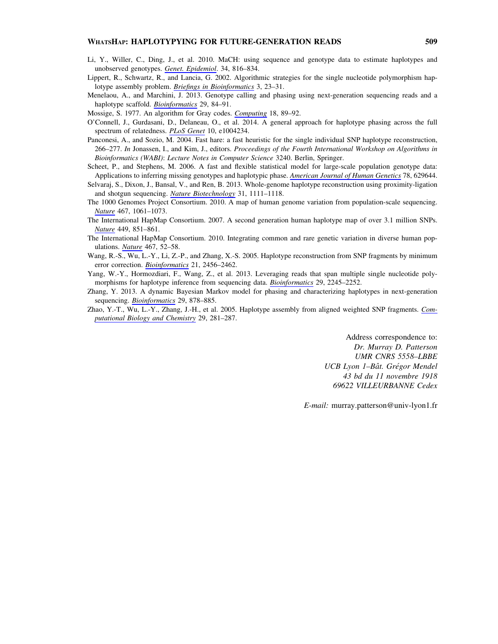- Li, Y., Willer, C., Ding, J., et al. 2010. MaCH: using sequence and genotype data to estimate haplotypes and unobserved genotypes. [Genet. Epidemiol](http://online.liebertpub.com/action/showLinks?pmid=21058334&crossref=10.1002%2Fgepi.20533). 34, 816–834.
- Lippert, R., Schwartz, R., and Lancia, G. 2002. Algorithmic strategies for the single nucleotide polymorphism haplotype assembly problem. [Briefings in Bioinformatics](http://online.liebertpub.com/action/showLinks?pmid=12002221&crossref=10.1093%2Fbib%2F3.1.23) 3, 23–31.
- Menelaou, A., and Marchini, J. 2013. Genotype calling and phasing using next-generation sequencing reads and a haplotype scaffold. *[Bioinformatics](http://online.liebertpub.com/action/showLinks?pmid=23093610&crossref=10.1093%2Fbioinformatics%2Fbts632)* 29, 84–91.

Mossige, S. 1977. An algorithm for Gray codes. [Computing](http://online.liebertpub.com/action/showLinks?crossref=10.1007%2FBF02248780) 18, 89–92.

- O'Connell, J., Gurdasani, D., Delaneau, O., et al. 2014. A general approach for haplotype phasing across the full spectrum of relatedness. [PLoS Genet](http://online.liebertpub.com/action/showLinks?pmid=24743097&crossref=10.1371%2Fjournal.pgen.1004234) 10, e1004234.
- Panconesi, A., and Sozio, M. 2004. Fast hare: a fast heuristic for the single individual SNP haplotype reconstruction, 266–277. In Jonassen, I., and Kim, J., editors. Proceedings of the Fourth International Workshop on Algorithms in Bioinformatics (WABI): Lecture Notes in Computer Science 3240. Berlin, Springer.
- Scheet, P., and Stephens, M. 2006. A fast and flexible statistical model for large-scale population genotype data: Applications to inferring missing genotypes and haplotypic phase. [American Journal of Human Genetics](http://online.liebertpub.com/action/showLinks?crossref=10.1086%2F502802) 78, 629644.
- Selvaraj, S., Dixon, J., Bansal, V., and Ren, B. 2013. Whole-genome haplotype reconstruction using proximity-ligation and shotgun sequencing. [Nature Biotechnology](http://online.liebertpub.com/action/showLinks?crossref=10.1038%2Fnbt.2728) 31, 1111–1118.
- The 1000 Genomes Project Consortium. 2010. A map of human genome variation from population-scale sequencing. [Nature](http://online.liebertpub.com/action/showLinks?pmid=20981092&crossref=10.1038%2Fnature09534) 467, 1061–1073.
- The International HapMap Consortium. 2007. A second generation human haplotype map of over 3.1 million SNPs. [Nature](http://online.liebertpub.com/action/showLinks?pmid=17943122&crossref=10.1038%2Fnature06258) 449, 851–861.
- The International HapMap Consortium. 2010. Integrating common and rare genetic variation in diverse human populations. [Nature](http://online.liebertpub.com/action/showLinks?pmid=20811451&crossref=10.1038%2Fnature09298) 467, 52–58.
- Wang, R.-S., Wu, L.-Y., Li, Z.-P., and Zhang, X.-S. 2005. Haplotype reconstruction from SNP fragments by minimum error correction. [Bioinformatics](http://online.liebertpub.com/action/showLinks?pmid=15731204&crossref=10.1093%2Fbioinformatics%2Fbti352) 21, 2456–2462.
- Yang, W.-Y., Hormozdiari, F., Wang, Z., et al. 2013. Leveraging reads that span multiple single nucleotide polymorphisms for haplotype inference from sequencing data. [Bioinformatics](http://online.liebertpub.com/action/showLinks?pmid=23825370&crossref=10.1093%2Fbioinformatics%2Fbtt386) 29, 2245–2252.
- Zhang, Y. 2013. A dynamic Bayesian Markov model for phasing and characterizing haplotypes in next-generation sequencing. [Bioinformatics](http://online.liebertpub.com/action/showLinks?pmid=23407359&crossref=10.1093%2Fbioinformatics%2Fbtt065) 29, 878–885.
- Zhao, Y.-T., Wu, L.-Y., Zhang, J.-H., et al. 2005. Haplotype assembly from aligned weighted SNP fragments. [Com](http://online.liebertpub.com/action/showLinks?pmid=16051522&crossref=10.1016%2Fj.compbiolchem.2005.05.001)[putational Biology and Chemistry](http://online.liebertpub.com/action/showLinks?pmid=16051522&crossref=10.1016%2Fj.compbiolchem.2005.05.001) 29, 281–287.

Address correspondence to: Dr. Murray D. Patterson UMR CNRS 5558–LBBE UCB Lyon 1-Bât. Grégor Mendel 43 bd du 11 novembre 1918 69622 VILLEURBANNE Cedex

E-mail: murray.patterson@univ-lyon1.fr